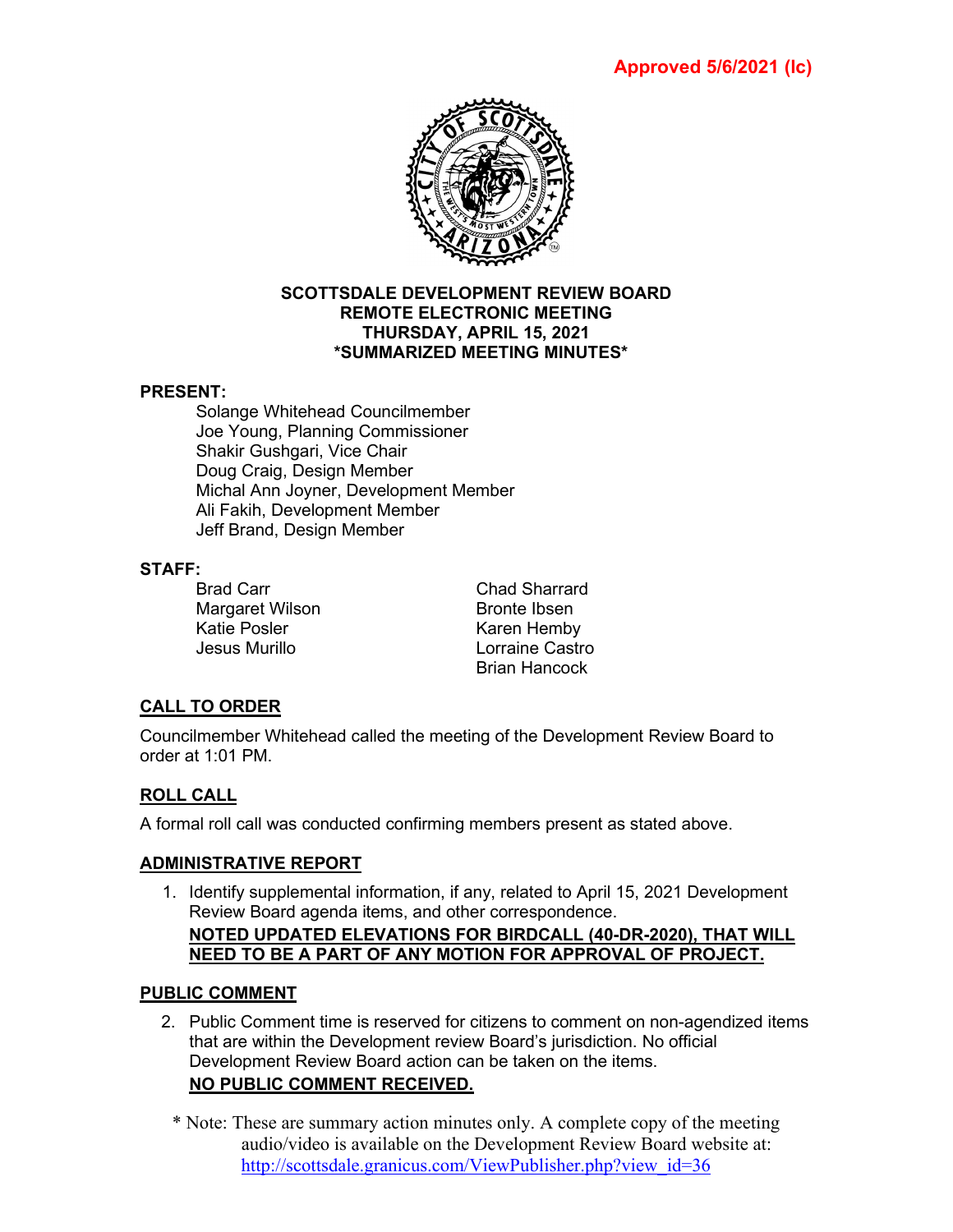

#### **SCOTTSDALE DEVELOPMENT REVIEW BOARD REMOTE ELECTRONIC MEETING THURSDAY, APRIL 15, 2021 \*SUMMARIZED MEETING MINUTES\***

## **PRESENT:**

Solange Whitehead Councilmember Joe Young, Planning Commissioner Shakir Gushgari, Vice Chair Doug Craig, Design Member Michal Ann Joyner, Development Member Ali Fakih, Development Member Jeff Brand, Design Member

## **STAFF:**

Margaret Wilson Bronte Ibsen Katie Posler Karen Hemby

Brad Carr **Chad Sharrard** Lorraine Castro Brian Hancock

# **CALL TO ORDER**

Councilmember Whitehead called the meeting of the Development Review Board to order at 1:01 PM.

# **ROLL CALL**

A formal roll call was conducted confirming members present as stated above.

## **ADMINISTRATIVE REPORT**

1. Identify supplemental information, if any, related to April 15, 2021 Development Review Board agenda items, and other correspondence. **NOTED UPDATED ELEVATIONS FOR BIRDCALL (40-DR-2020), THAT WILL NEED TO BE A PART OF ANY MOTION FOR APPROVAL OF PROJECT.**

## **PUBLIC COMMENT**

- 2. Public Comment time is reserved for citizens to comment on non-agendized items that are within the Development review Board's jurisdiction. No official Development Review Board action can be taken on the items. **NO PUBLIC COMMENT RECEIVED.**
	- \* Note: These are summary action minutes only. A complete copy of the meeting audio/video is available on the Development Review Board website at: [http://scottsdale.granicus.com/ViewPublisher.php?view\\_id=36](http://scottsdale.granicus.com/ViewPublisher.php?view_id=36)